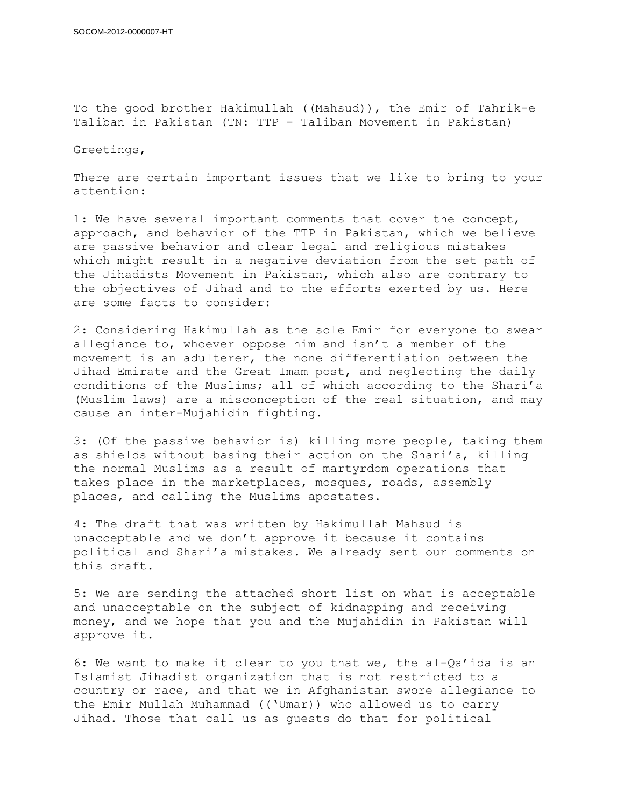To the good brother Hakimullah ((Mahsud)), the Emir of Tahrik-e Taliban in Pakistan (TN: TTP - Taliban Movement in Pakistan)

Greetings,

There are certain important issues that we like to bring to your attention:

1: We have several important comments that cover the concept, approach, and behavior of the TTP in Pakistan, which we believe are passive behavior and clear legal and religious mistakes which might result in a negative deviation from the set path of the Jihadists Movement in Pakistan, which also are contrary to the objectives of Jihad and to the efforts exerted by us. Here are some facts to consider:

2: Considering Hakimullah as the sole Emir for everyone to swear allegiance to, whoever oppose him and isn't a member of the movement is an adulterer, the none differentiation between the Jihad Emirate and the Great Imam post, and neglecting the daily conditions of the Muslims; all of which according to the Shari'a (Muslim laws) are a misconception of the real situation, and may cause an inter-Mujahidin fighting.

3: (Of the passive behavior is) killing more people, taking them as shields without basing their action on the Shari'a, killing the normal Muslims as a result of martyrdom operations that takes place in the marketplaces, mosques, roads, assembly places, and calling the Muslims apostates.

4: The draft that was written by Hakimullah Mahsud is unacceptable and we don't approve it because it contains political and Shari'a mistakes. We already sent our comments on this draft.

5: We are sending the attached short list on what is acceptable and unacceptable on the subject of kidnapping and receiving money, and we hope that you and the Mujahidin in Pakistan will approve it.

6: We want to make it clear to you that we, the al-Qa'ida is an Islamist Jihadist organization that is not restricted to a country or race, and that we in Afghanistan swore allegiance to the Emir Mullah Muhammad (('Umar)) who allowed us to carry Jihad. Those that call us as guests do that for political